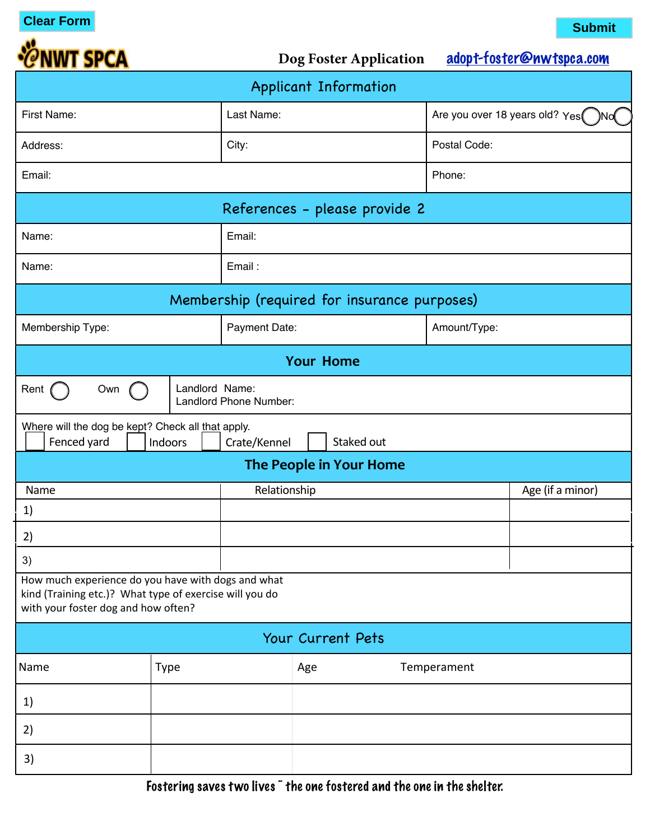**Clear Form Submit**



Dog Foster Application [adopt-foster@nwtspca.com](mailto:adopt-foster@nwtspca.com)

| Applicant Information                                                                                                                                |             |                               |                                       |                  |  |
|------------------------------------------------------------------------------------------------------------------------------------------------------|-------------|-------------------------------|---------------------------------------|------------------|--|
| First Name:                                                                                                                                          |             | Last Name:                    | Are you over 18 years old? Yes<br>)No |                  |  |
| Address:                                                                                                                                             |             | City:                         | Postal Code:                          |                  |  |
| Email:                                                                                                                                               |             |                               | Phone:                                |                  |  |
|                                                                                                                                                      |             | References - please provide 2 |                                       |                  |  |
| Name:                                                                                                                                                |             | Email:                        |                                       |                  |  |
| Name:                                                                                                                                                |             | Email:                        |                                       |                  |  |
| Membership (required for insurance purposes)                                                                                                         |             |                               |                                       |                  |  |
| Membership Type:                                                                                                                                     |             | Payment Date:                 | Amount/Type:                          |                  |  |
| <b>Your Home</b>                                                                                                                                     |             |                               |                                       |                  |  |
| Landlord Name:<br>Rent<br>Own<br>Landlord Phone Number:                                                                                              |             |                               |                                       |                  |  |
| Where will the dog be kept? Check all that apply.<br>Fenced yard<br>Staked out<br>Indoors<br>Crate/Kennel                                            |             |                               |                                       |                  |  |
|                                                                                                                                                      |             | The People in Your Home       |                                       |                  |  |
| Name                                                                                                                                                 |             | Relationship                  |                                       | Age (if a minor) |  |
| 1)                                                                                                                                                   |             |                               |                                       |                  |  |
| 2)                                                                                                                                                   |             |                               |                                       |                  |  |
| 3)                                                                                                                                                   |             |                               |                                       |                  |  |
| How much experience do you have with dogs and what<br>kind (Training etc.)? What type of exercise will you do<br>with your foster dog and how often? |             |                               |                                       |                  |  |
| Your Current Pets                                                                                                                                    |             |                               |                                       |                  |  |
| Name                                                                                                                                                 | <b>Type</b> | Age                           | Temperament                           |                  |  |
| 1)                                                                                                                                                   |             |                               |                                       |                  |  |
| 2)                                                                                                                                                   |             |                               |                                       |                  |  |
| 3)                                                                                                                                                   |             |                               |                                       |                  |  |